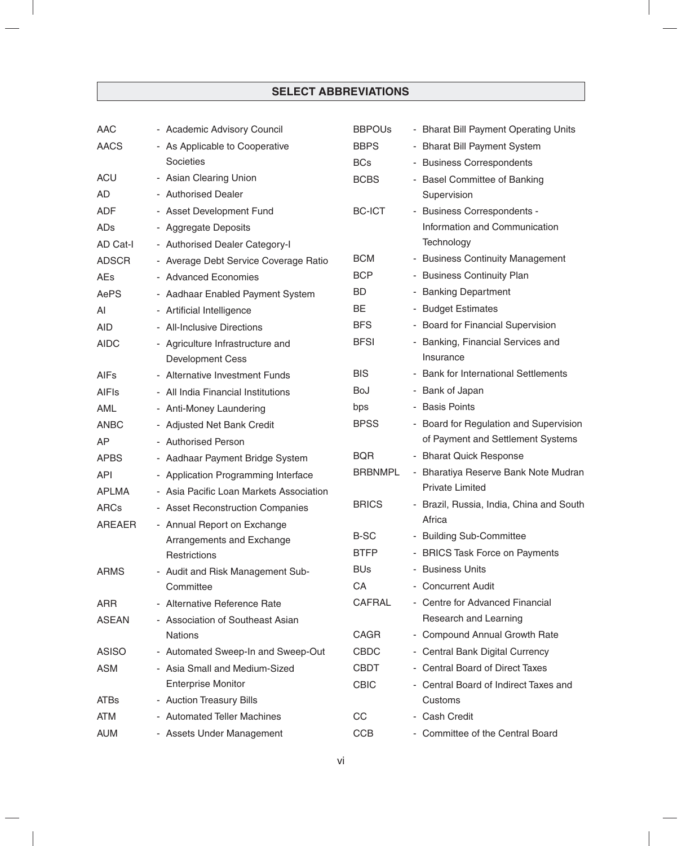| <b>AAC</b>    | - Academic Advisory Council             | <b>BBPOUS</b>  | - Bharat Bill Payment Operating Units    |
|---------------|-----------------------------------------|----------------|------------------------------------------|
| <b>AACS</b>   | - As Applicable to Cooperative          | <b>BBPS</b>    | - Bharat Bill Payment System             |
|               | Societies                               | <b>BCs</b>     | - Business Correspondents                |
| <b>ACU</b>    | - Asian Clearing Union                  | <b>BCBS</b>    | - Basel Committee of Banking             |
| AD            | - Authorised Dealer                     |                | Supervision                              |
| <b>ADF</b>    | - Asset Development Fund                | <b>BC-ICT</b>  | - Business Correspondents -              |
| ADs           | - Aggregate Deposits                    |                | Information and Communication            |
| AD Cat-I      | - Authorised Dealer Category-I          |                | Technology                               |
| <b>ADSCR</b>  | - Average Debt Service Coverage Ratio   | <b>BCM</b>     | - Business Continuity Management         |
| AEs           | - Advanced Economies                    | <b>BCP</b>     | - Business Continuity Plan               |
| AePS          | - Aadhaar Enabled Payment System        | <b>BD</b>      | - Banking Department                     |
| Al            | - Artificial Intelligence               | BE             | - Budget Estimates                       |
| <b>AID</b>    | - All-Inclusive Directions              | <b>BFS</b>     | - Board for Financial Supervision        |
| <b>AIDC</b>   | - Agriculture Infrastructure and        | <b>BFSI</b>    | - Banking, Financial Services and        |
|               | <b>Development Cess</b>                 |                | Insurance                                |
| AIFs          | - Alternative Investment Funds          | <b>BIS</b>     | - Bank for International Settlements     |
| <b>AIFIs</b>  | - All India Financial Institutions      | BoJ            | - Bank of Japan                          |
| AML           | - Anti-Money Laundering                 | bps            | - Basis Points                           |
| <b>ANBC</b>   | - Adjusted Net Bank Credit              | <b>BPSS</b>    | - Board for Regulation and Supervision   |
| <b>AP</b>     | - Authorised Person                     |                | of Payment and Settlement Systems        |
| <b>APBS</b>   | - Aadhaar Payment Bridge System         | <b>BQR</b>     | - Bharat Quick Response                  |
| <b>API</b>    | - Application Programming Interface     | <b>BRBNMPL</b> | - Bharatiya Reserve Bank Note Mudran     |
| <b>APLMA</b>  | - Asia Pacific Loan Markets Association |                | <b>Private Limited</b>                   |
| <b>ARCs</b>   | - Asset Reconstruction Companies        | <b>BRICS</b>   | - Brazil, Russia, India, China and South |
| <b>AREAER</b> | - Annual Report on Exchange             |                | Africa                                   |
|               | Arrangements and Exchange               | <b>B-SC</b>    | - Building Sub-Committee                 |
|               | Restrictions                            | <b>BTFP</b>    | - BRICS Task Force on Payments           |
| ARMS          | - Audit and Risk Management Sub-        | <b>BUs</b>     | - Business Units                         |
|               | Committee                               | CA             | - Concurrent Audit                       |
| <b>ARR</b>    | - Alternative Reference Rate            | <b>CAFRAL</b>  | - Centre for Advanced Financial          |
| <b>ASEAN</b>  | - Association of Southeast Asian        |                | Research and Learning                    |
|               | <b>Nations</b>                          | <b>CAGR</b>    | - Compound Annual Growth Rate            |
| <b>ASISO</b>  | - Automated Sweep-In and Sweep-Out      | <b>CBDC</b>    | - Central Bank Digital Currency          |
| <b>ASM</b>    | - Asia Small and Medium-Sized           | <b>CBDT</b>    | - Central Board of Direct Taxes          |
|               | <b>Enterprise Monitor</b>               | <b>CBIC</b>    | - Central Board of Indirect Taxes and    |
| <b>ATBs</b>   | - Auction Treasury Bills                |                | Customs                                  |
| <b>ATM</b>    | - Automated Teller Machines             | CC             | - Cash Credit                            |
| <b>AUM</b>    | - Assets Under Management               | <b>CCB</b>     | - Committee of the Central Board         |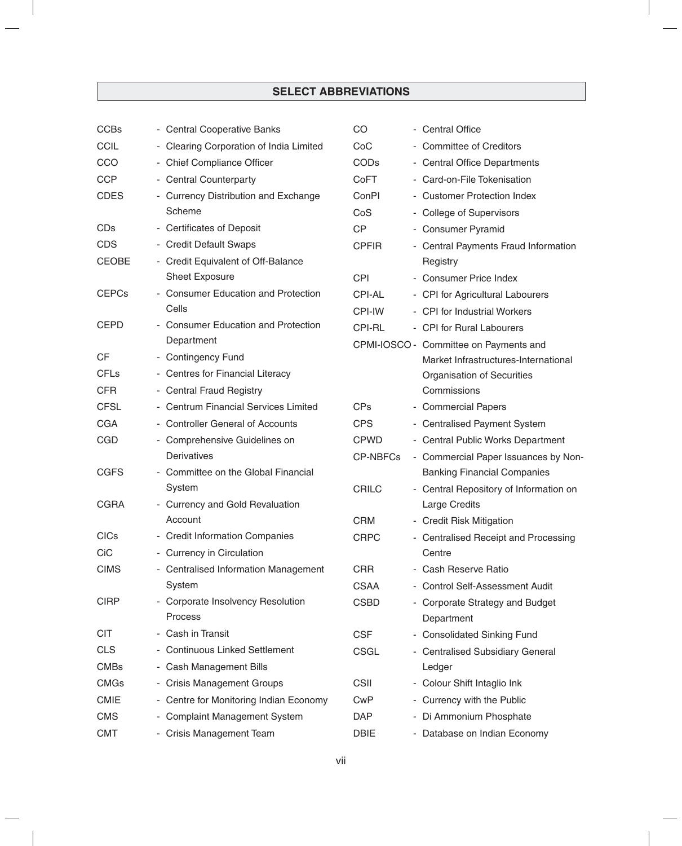| <b>CCBs</b>  | - Central Cooperative Banks                  | CO              | - Central Office                              |
|--------------|----------------------------------------------|-----------------|-----------------------------------------------|
| <b>CCIL</b>  | - Clearing Corporation of India Limited      | CoC             | - Committee of Creditors                      |
| CCO          | - Chief Compliance Officer                   | <b>CODs</b>     | - Central Office Departments                  |
| <b>CCP</b>   | - Central Counterparty                       | CoFT            | - Card-on-File Tokenisation                   |
| <b>CDES</b>  | - Currency Distribution and Exchange         | ConPI           | - Customer Protection Index                   |
|              | Scheme                                       | CoS             | - College of Supervisors                      |
| <b>CDs</b>   | - Certificates of Deposit                    | <b>CP</b>       | - Consumer Pyramid                            |
| <b>CDS</b>   | - Credit Default Swaps                       | <b>CPFIR</b>    | - Central Payments Fraud Information          |
| <b>CEOBE</b> | - Credit Equivalent of Off-Balance           |                 | Registry                                      |
|              | Sheet Exposure                               | <b>CPI</b>      | - Consumer Price Index                        |
| <b>CEPCs</b> | - Consumer Education and Protection          | <b>CPI-AL</b>   | - CPI for Agricultural Labourers              |
|              | Cells                                        | CPI-IW          | - CPI for Industrial Workers                  |
| <b>CEPD</b>  | <b>Consumer Education and Protection</b>     | CPI-RL          | - CPI for Rural Labourers                     |
|              | Department                                   |                 | CPMI-IOSCO - Committee on Payments and        |
| <b>CF</b>    | - Contingency Fund                           |                 | Market Infrastructures-International          |
| <b>CFLs</b>  | - Centres for Financial Literacy             |                 | Organisation of Securities                    |
| <b>CFR</b>   | - Central Fraud Registry                     |                 | Commissions                                   |
| <b>CFSL</b>  | - Centrum Financial Services Limited         | <b>CPs</b>      | - Commercial Papers                           |
| <b>CGA</b>   | - Controller General of Accounts             | <b>CPS</b>      | - Centralised Payment System                  |
| <b>CGD</b>   | - Comprehensive Guidelines on                | <b>CPWD</b>     | - Central Public Works Department             |
|              | Derivatives                                  | <b>CP-NBFCs</b> | - Commercial Paper Issuances by Non-          |
| <b>CGFS</b>  | Committee on the Global Financial            |                 | <b>Banking Financial Companies</b>            |
|              | System                                       | <b>CRILC</b>    | - Central Repository of Information on        |
| <b>CGRA</b>  | - Currency and Gold Revaluation              |                 | <b>Large Credits</b>                          |
|              | Account                                      | <b>CRM</b>      | - Credit Risk Mitigation                      |
| <b>CICs</b>  | - Credit Information Companies               | <b>CRPC</b>     | - Centralised Receipt and Processing          |
| CiC          | - Currency in Circulation                    |                 | Centre                                        |
| <b>CIMS</b>  | - Centralised Information Management         | <b>CRR</b>      | - Cash Reserve Ratio                          |
|              | System                                       | <b>CSAA</b>     | - Control Self-Assessment Audit               |
| <b>CIRP</b>  | - Corporate Insolvency Resolution<br>Process | <b>CSBD</b>     | - Corporate Strategy and Budget<br>Department |
| <b>CIT</b>   | - Cash in Transit                            | <b>CSF</b>      | - Consolidated Sinking Fund                   |
| <b>CLS</b>   | - Continuous Linked Settlement               | <b>CSGL</b>     | - Centralised Subsidiary General              |
| <b>CMBs</b>  | - Cash Management Bills                      |                 | Ledger                                        |
| <b>CMGs</b>  | - Crisis Management Groups                   | <b>CSII</b>     | - Colour Shift Intaglio Ink                   |
| <b>CMIE</b>  | - Centre for Monitoring Indian Economy       | <b>CwP</b>      | - Currency with the Public                    |
| <b>CMS</b>   | - Complaint Management System                | DAP             | - Di Ammonium Phosphate                       |
| <b>CMT</b>   | - Crisis Management Team                     | <b>DBIE</b>     | - Database on Indian Economy                  |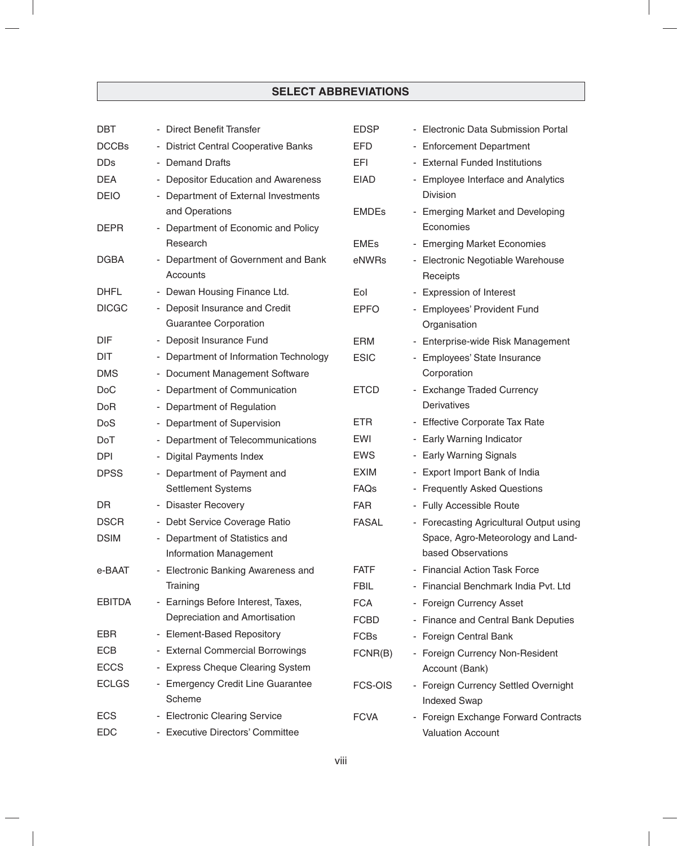| <b>DBT</b>    | - Direct Benefit Transfer                                         | <b>EDSP</b>      | - Electronic Data Submission Portal     |
|---------------|-------------------------------------------------------------------|------------------|-----------------------------------------|
| <b>DCCBs</b>  | - District Central Cooperative Banks                              | <b>EFD</b>       | - Enforcement Department                |
| <b>DDs</b>    | <b>Demand Drafts</b><br>$\blacksquare$                            | EFI              | - External Funded Institutions          |
| <b>DEA</b>    | <b>Depositor Education and Awareness</b><br>$\blacksquare$        | <b>EIAD</b>      | - Employee Interface and Analytics      |
| <b>DEIO</b>   | Department of External Investments<br>$\overline{\phantom{a}}$    |                  | <b>Division</b>                         |
|               | and Operations                                                    | <b>EMDEs</b>     | - Emerging Market and Developing        |
| <b>DEPR</b>   | - Department of Economic and Policy                               |                  | Economies                               |
|               | Research                                                          | <b>EMEs</b>      | - Emerging Market Economies             |
| <b>DGBA</b>   | - Department of Government and Bank                               | eNWRs            | - Electronic Negotiable Warehouse       |
|               | Accounts                                                          |                  | Receipts                                |
| <b>DHFL</b>   | - Dewan Housing Finance Ltd.                                      | Eol              | - Expression of Interest                |
| <b>DICGC</b>  | - Deposit Insurance and Credit                                    | <b>EPFO</b>      | - Employees' Provident Fund             |
|               | <b>Guarantee Corporation</b>                                      |                  | Organisation                            |
| DIF           | - Deposit Insurance Fund                                          | <b>ERM</b>       | - Enterprise-wide Risk Management       |
| <b>DIT</b>    | - Department of Information Technology                            | <b>ESIC</b>      | - Employees' State Insurance            |
| <b>DMS</b>    | - Document Management Software                                    |                  | Corporation                             |
| <b>DoC</b>    | - Department of Communication                                     | <b>ETCD</b>      | - Exchange Traded Currency              |
| DoR           | - Department of Regulation                                        |                  | Derivatives                             |
| DoS           | - Department of Supervision                                       | ETR.             | - Effective Corporate Tax Rate          |
| DoT           | - Department of Telecommunications                                | <b>EWI</b>       | - Early Warning Indicator               |
| <b>DPI</b>    | <b>Digital Payments Index</b><br>$\overline{\phantom{a}}$         | <b>EWS</b>       | - Early Warning Signals                 |
| <b>DPSS</b>   | - Department of Payment and                                       | <b>EXIM</b>      | - Export Import Bank of India           |
|               | <b>Settlement Systems</b>                                         | FAQ <sub>S</sub> | - Frequently Asked Questions            |
| DR            | - Disaster Recovery                                               | <b>FAR</b>       | - Fully Accessible Route                |
| <b>DSCR</b>   | - Debt Service Coverage Ratio                                     | <b>FASAL</b>     | - Forecasting Agricultural Output using |
| <b>DSIM</b>   | - Department of Statistics and                                    |                  | Space, Agro-Meteorology and Land-       |
|               | <b>Information Management</b>                                     |                  | based Observations                      |
| e-BAAT        | - Electronic Banking Awareness and                                | <b>FATF</b>      | - Financial Action Task Force           |
|               | Training                                                          | <b>FBIL</b>      | - Financial Benchmark India Pvt. Ltd    |
| <b>EBITDA</b> | - Earnings Before Interest, Taxes,                                | <b>FCA</b>       | - Foreign Currency Asset                |
|               | Depreciation and Amortisation                                     | <b>FCBD</b>      | - Finance and Central Bank Deputies     |
| EBR           | - Element-Based Repository                                        | <b>FCBs</b>      | - Foreign Central Bank                  |
| ECB           | - External Commercial Borrowings                                  | FCNR(B)          | - Foreign Currency Non-Resident         |
| <b>ECCS</b>   | - Express Cheque Clearing System                                  |                  | Account (Bank)                          |
| <b>ECLGS</b>  | - Emergency Credit Line Guarantee                                 | <b>FCS-OIS</b>   | - Foreign Currency Settled Overnight    |
|               | Scheme                                                            |                  | <b>Indexed Swap</b>                     |
| <b>ECS</b>    | <b>Electronic Clearing Service</b><br>-                           | <b>FCVA</b>      | - Foreign Exchange Forward Contracts    |
| <b>EDC</b>    | <b>Executive Directors' Committee</b><br>$\overline{\phantom{a}}$ |                  | Valuation Account                       |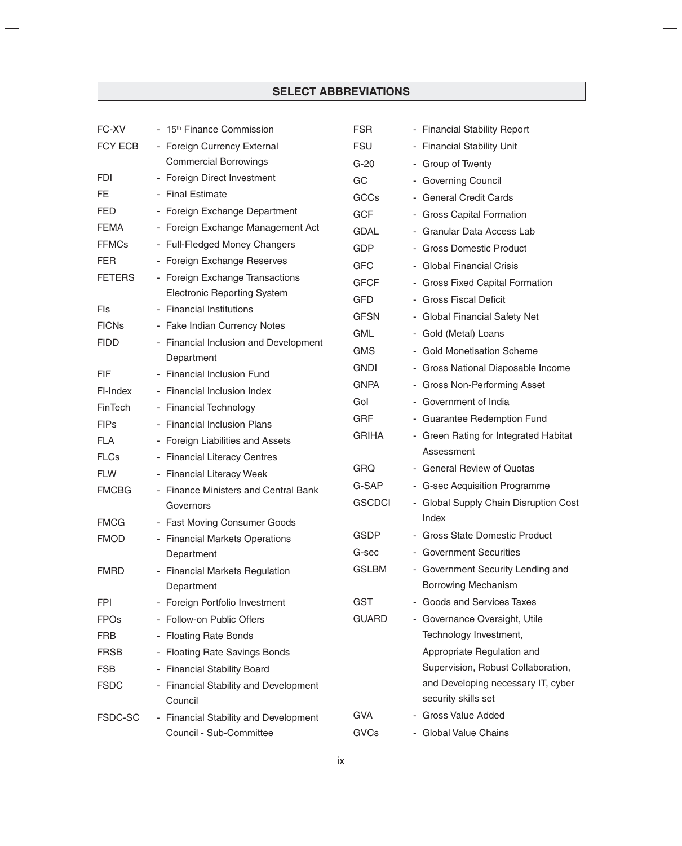| FC-XV         | - 15 <sup>th</sup> Finance Commission             | <b>FSR</b>    | - Financial Stability Report          |
|---------------|---------------------------------------------------|---------------|---------------------------------------|
| FCY ECB       | - Foreign Currency External                       | <b>FSU</b>    | - Financial Stability Unit            |
|               | <b>Commercial Borrowings</b>                      | $G-20$        | - Group of Twenty                     |
| <b>FDI</b>    | - Foreign Direct Investment                       | GC            | - Governing Council                   |
| FE            | - Final Estimate                                  | <b>GCCs</b>   | - General Credit Cards                |
| <b>FED</b>    | - Foreign Exchange Department                     | <b>GCF</b>    | - Gross Capital Formation             |
| <b>FEMA</b>   | - Foreign Exchange Management Act                 | <b>GDAL</b>   | - Granular Data Access Lab            |
| <b>FFMCs</b>  | - Full-Fledged Money Changers                     | <b>GDP</b>    | - Gross Domestic Product              |
| <b>FER</b>    | - Foreign Exchange Reserves                       | <b>GFC</b>    | - Global Financial Crisis             |
| <b>FETERS</b> | - Foreign Exchange Transactions                   | <b>GFCF</b>   | - Gross Fixed Capital Formation       |
|               | <b>Electronic Reporting System</b>                | <b>GFD</b>    | - Gross Fiscal Deficit                |
| Fls           | - Financial Institutions                          | <b>GFSN</b>   | - Global Financial Safety Net         |
| <b>FICNs</b>  | - Fake Indian Currency Notes                      | <b>GML</b>    | - Gold (Metal) Loans                  |
| <b>FIDD</b>   | - Financial Inclusion and Development             | <b>GMS</b>    | - Gold Monetisation Scheme            |
|               | Department                                        | <b>GNDI</b>   | - Gross National Disposable Income    |
| <b>FIF</b>    | - Financial Inclusion Fund                        | <b>GNPA</b>   | - Gross Non-Performing Asset          |
| FI-Index      | - Financial Inclusion Index                       | Gol           | - Government of India                 |
| FinTech       | - Financial Technology                            | <b>GRF</b>    | - Guarantee Redemption Fund           |
| <b>FIPs</b>   | - Financial Inclusion Plans                       | <b>GRIHA</b>  | - Green Rating for Integrated Habitat |
| <b>FLA</b>    | - Foreign Liabilities and Assets                  |               | Assessment                            |
| <b>FLCs</b>   | - Financial Literacy Centres                      | <b>GRQ</b>    | - General Review of Quotas            |
| <b>FLW</b>    | - Financial Literacy Week                         | G-SAP         | - G-sec Acquisition Programme         |
| <b>FMCBG</b>  | - Finance Ministers and Central Bank<br>Governors | <b>GSCDCI</b> | - Global Supply Chain Disruption Cost |
| <b>FMCG</b>   | - Fast Moving Consumer Goods                      |               | Index                                 |
| <b>FMOD</b>   | - Financial Markets Operations                    | <b>GSDP</b>   | - Gross State Domestic Product        |
|               | Department                                        | G-sec         | - Government Securities               |
| <b>FMRD</b>   | - Financial Markets Regulation                    | <b>GSLBM</b>  | - Government Security Lending and     |
|               | Department                                        |               | <b>Borrowing Mechanism</b>            |
| FPI           | - Foreign Portfolio Investment                    | <b>GST</b>    | - Goods and Services Taxes            |
| <b>FPOs</b>   | - Follow-on Public Offers                         | <b>GUARD</b>  | - Governance Oversight, Utile         |
| <b>FRB</b>    | - Floating Rate Bonds                             |               | Technology Investment,                |
| <b>FRSB</b>   | - Floating Rate Savings Bonds                     |               | Appropriate Regulation and            |
| <b>FSB</b>    | - Financial Stability Board                       |               | Supervision, Robust Collaboration,    |
| <b>FSDC</b>   | - Financial Stability and Development             |               | and Developing necessary IT, cyber    |
|               | Council                                           |               | security skills set                   |
| FSDC-SC       | - Financial Stability and Development             | <b>GVA</b>    | - Gross Value Added                   |
|               | Council - Sub-Committee                           | GVCs          | - Global Value Chains                 |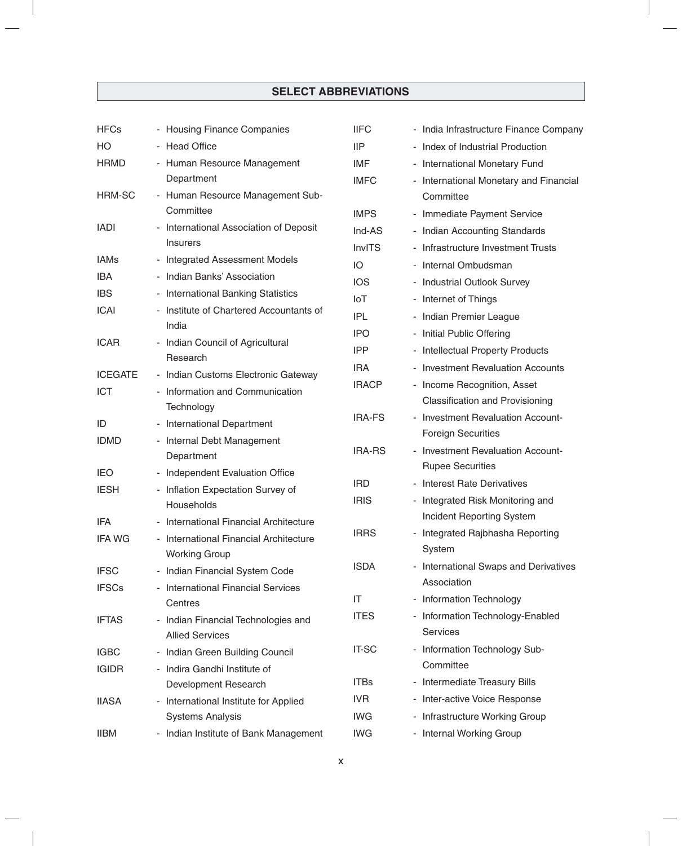| <b>HFCs</b>    | - Housing Finance Companies                                     | <b>IIFC</b>   | - India Infrastructure Finance Company |
|----------------|-----------------------------------------------------------------|---------------|----------------------------------------|
| HO             | - Head Office                                                   | <b>IIP</b>    | - Index of Industrial Production       |
| <b>HRMD</b>    | - Human Resource Management                                     | IMF           | - International Monetary Fund          |
|                | Department                                                      | <b>IMFC</b>   | - International Monetary and Financial |
| HRM-SC         | - Human Resource Management Sub-                                |               | Committee                              |
|                | Committee                                                       | <b>IMPS</b>   | - Immediate Payment Service            |
| <b>IADI</b>    | - International Association of Deposit                          | Ind-AS        | - Indian Accounting Standards          |
|                | <b>Insurers</b>                                                 | <b>InvITS</b> | - Infrastructure Investment Trusts     |
| <b>IAMs</b>    | - Integrated Assessment Models                                  | IO            | - Internal Ombudsman                   |
| <b>IBA</b>     | - Indian Banks' Association                                     | <b>IOS</b>    | - Industrial Outlook Survey            |
| <b>IBS</b>     | - International Banking Statistics                              | IoT           | - Internet of Things                   |
| <b>ICAI</b>    | - Institute of Chartered Accountants of                         | <b>IPL</b>    | - Indian Premier League                |
|                | India                                                           | <b>IPO</b>    | - Initial Public Offering              |
| <b>ICAR</b>    | - Indian Council of Agricultural                                | <b>IPP</b>    | - Intellectual Property Products       |
|                | Research                                                        | <b>IRA</b>    | - Investment Revaluation Accounts      |
| <b>ICEGATE</b> | - Indian Customs Electronic Gateway                             | <b>IRACP</b>  | - Income Recognition, Asset            |
| <b>ICT</b>     | - Information and Communication                                 |               | <b>Classification and Provisioning</b> |
|                | Technology                                                      | <b>IRA-FS</b> | - Investment Revaluation Account-      |
| ID             | - International Department                                      |               | <b>Foreign Securities</b>              |
| <b>IDMD</b>    | - Internal Debt Management<br>Department                        | <b>IRA-RS</b> | - Investment Revaluation Account-      |
| <b>IEO</b>     | - Independent Evaluation Office                                 |               | <b>Rupee Securities</b>                |
| <b>IESH</b>    | - Inflation Expectation Survey of                               | <b>IRD</b>    | - Interest Rate Derivatives            |
|                | Households                                                      | <b>IRIS</b>   | - Integrated Risk Monitoring and       |
| <b>IFA</b>     | International Financial Architecture                            |               | <b>Incident Reporting System</b>       |
| <b>IFA WG</b>  | - International Financial Architecture                          | <b>IRRS</b>   | Integrated Rajbhasha Reporting         |
|                | <b>Working Group</b>                                            |               | System                                 |
| <b>IFSC</b>    | - Indian Financial System Code                                  | <b>ISDA</b>   | - International Swaps and Derivatives  |
| <b>IFSCs</b>   | - International Financial Services                              |               | Association                            |
|                | Centres                                                         | IT            | - Information Technology               |
| <b>IFTAS</b>   | - Indian Financial Technologies and                             | <b>ITES</b>   | - Information Technology-Enabled       |
|                | <b>Allied Services</b>                                          |               | <b>Services</b>                        |
| <b>IGBC</b>    | - Indian Green Building Council                                 | <b>IT-SC</b>  | - Information Technology Sub-          |
| <b>IGIDR</b>   | - Indira Gandhi Institute of                                    |               | Committee                              |
|                | Development Research                                            | <b>ITBs</b>   | - Intermediate Treasury Bills          |
| <b>IIASA</b>   | International Institute for Applied<br>$\overline{\phantom{a}}$ | IVR           | - Inter-active Voice Response          |
|                | <b>Systems Analysis</b>                                         | <b>IWG</b>    | - Infrastructure Working Group         |
| <b>IIBM</b>    | - Indian Institute of Bank Management                           | <b>IWG</b>    | - Internal Working Group               |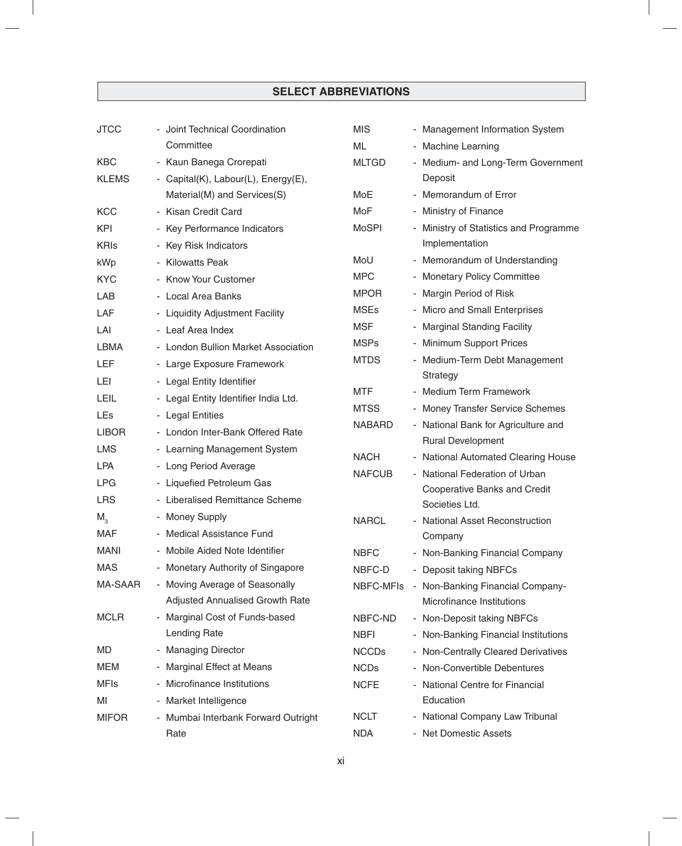| <b>JTCC</b>  | - Joint Technical Coordination       | <b>MIS</b>       | - Management Information System                |
|--------------|--------------------------------------|------------------|------------------------------------------------|
|              | Committee                            | ML               | - Machine Learning                             |
| <b>KBC</b>   | - Kaun Banega Crorepati              | <b>MLTGD</b>     | - Medium- and Long-Term Government             |
| <b>KLEMS</b> | - Capital(K), Labour(L), Energy(E),  |                  | Deposit                                        |
|              | Material(M) and Services(S)          | MoE              | - Memorandum of Error                          |
| <b>KCC</b>   | - Kisan Credit Card                  | MoF              | - Ministry of Finance                          |
| <b>KPI</b>   | - Key Performance Indicators         | <b>MoSPI</b>     | - Ministry of Statistics and Programme         |
| <b>KRIS</b>  | - Key Risk Indicators                |                  | Implementation                                 |
| kWp          | - Kilowatts Peak                     | MoU              | - Memorandum of Understanding                  |
| <b>KYC</b>   | - Know Your Customer                 | <b>MPC</b>       | - Monetary Policy Committee                    |
| LAB          | - Local Area Banks                   | <b>MPOR</b>      | - Margin Period of Risk                        |
| LAF          | - Liquidity Adjustment Facility      | <b>MSEs</b>      | - Micro and Small Enterprises                  |
| LAI          | - Leaf Area Index                    | <b>MSF</b>       | - Marginal Standing Facility                   |
| LBMA         | - London Bullion Market Association  | <b>MSPs</b>      | - Minimum Support Prices                       |
| LEF          | - Large Exposure Framework           | <b>MTDS</b>      | - Medium-Term Debt Management                  |
| <b>LEI</b>   | - Legal Entity Identifier            |                  | Strategy                                       |
| LEIL         | - Legal Entity Identifier India Ltd. | MTF              | - Medium Term Framework                        |
| LEs          | - Legal Entities                     | <b>MTSS</b>      | - Money Transfer Service Schemes               |
| <b>LIBOR</b> | - London Inter-Bank Offered Rate     | <b>NABARD</b>    | - National Bank for Agriculture and            |
| <b>LMS</b>   | - Learning Management System         |                  | <b>Rural Development</b>                       |
| <b>LPA</b>   | - Long Period Average                | <b>NACH</b>      | - National Automated Clearing House            |
| <b>LPG</b>   | - Liquefied Petroleum Gas            | <b>NAFCUB</b>    | - National Federation of Urban                 |
| <b>LRS</b>   | - Liberalised Remittance Scheme      |                  | Cooperative Banks and Credit<br>Societies Ltd. |
| $M_{3}$      | - Money Supply                       | <b>NARCL</b>     | - National Asset Reconstruction                |
| <b>MAF</b>   | - Medical Assistance Fund            |                  | Company                                        |
| <b>MANI</b>  | - Mobile Aided Note Identifier       | <b>NBFC</b>      | - Non-Banking Financial Company                |
| MAS          | - Monetary Authority of Singapore    | NBFC-D           | - Deposit taking NBFCs                         |
| MA-SAAR      | - Moving Average of Seasonally       | <b>NBFC-MFIs</b> | - Non-Banking Financial Company-               |
|              | Adjusted Annualised Growth Rate      |                  | Microfinance Institutions                      |
| <b>MCLR</b>  | - Marginal Cost of Funds-based       | NBFC-ND          | - Non-Deposit taking NBFCs                     |
|              | Lending Rate                         | <b>NBFI</b>      | - Non-Banking Financial Institutions           |
| MD           | - Managing Director                  | <b>NCCDs</b>     | - Non-Centrally Cleared Derivatives            |
| MEM          | - Marginal Effect at Means           | <b>NCDs</b>      | - Non-Convertible Debentures                   |
| <b>MFIs</b>  | Microfinance Institutions            | <b>NCFE</b>      | - National Centre for Financial                |
| MI           | - Market Intelligence                |                  | Education                                      |
| <b>MIFOR</b> | - Mumbai Interbank Forward Outright  | <b>NCLT</b>      | - National Company Law Tribunal                |
|              | Rate                                 | <b>NDA</b>       | - Net Domestic Assets                          |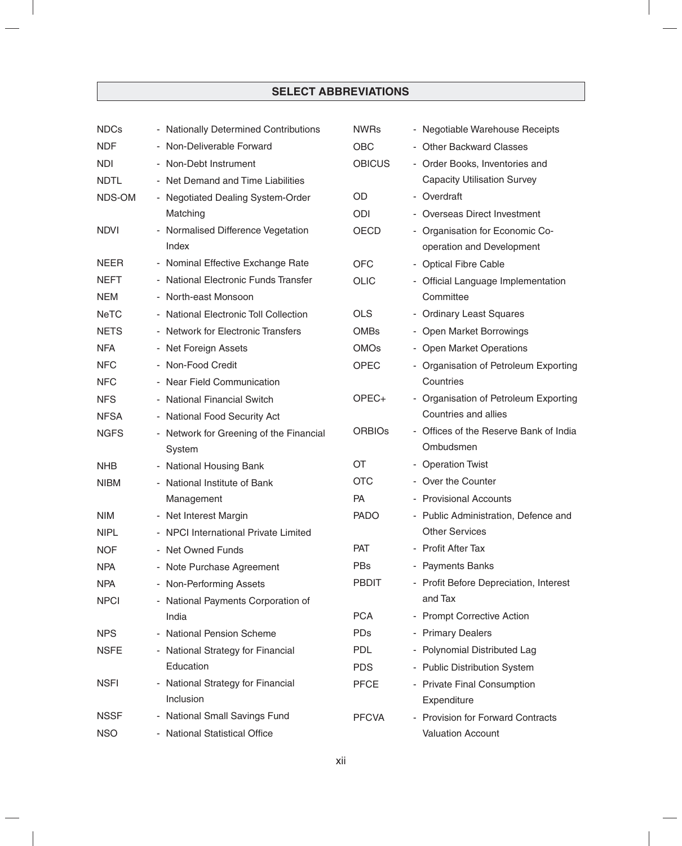| <b>NDCs</b> | - Nationally Determined Contributions                          | <b>NWRs</b>   | - Negotiable Warehouse Receipts        |
|-------------|----------------------------------------------------------------|---------------|----------------------------------------|
| <b>NDF</b>  | - Non-Deliverable Forward                                      | <b>OBC</b>    | - Other Backward Classes               |
| <b>NDI</b>  | - Non-Debt Instrument                                          | <b>OBICUS</b> | - Order Books, Inventories and         |
| <b>NDTL</b> | - Net Demand and Time Liabilities                              |               | <b>Capacity Utilisation Survey</b>     |
| NDS-OM      | - Negotiated Dealing System-Order                              | OD            | - Overdraft                            |
|             | Matching                                                       | ODI           | - Overseas Direct Investment           |
| <b>NDVI</b> | - Normalised Difference Vegetation                             | <b>OECD</b>   | - Organisation for Economic Co-        |
|             | Index                                                          |               | operation and Development              |
| <b>NEER</b> | - Nominal Effective Exchange Rate                              | <b>OFC</b>    | - Optical Fibre Cable                  |
| <b>NEFT</b> | - National Electronic Funds Transfer                           | <b>OLIC</b>   | - Official Language Implementation     |
| <b>NEM</b>  | - North-east Monsoon                                           |               | Committee                              |
| <b>NeTC</b> | - National Electronic Toll Collection                          | <b>OLS</b>    | - Ordinary Least Squares               |
| <b>NETS</b> | - Network for Electronic Transfers                             | <b>OMBs</b>   | - Open Market Borrowings               |
| <b>NFA</b>  | - Net Foreign Assets                                           | <b>OMOs</b>   | - Open Market Operations               |
| <b>NFC</b>  | - Non-Food Credit                                              | <b>OPEC</b>   | - Organisation of Petroleum Exporting  |
| <b>NFC</b>  | - Near Field Communication                                     |               | Countries                              |
| <b>NFS</b>  | - National Financial Switch                                    | OPEC+         | - Organisation of Petroleum Exporting  |
| <b>NFSA</b> | - National Food Security Act                                   |               | Countries and allies                   |
| <b>NGFS</b> | - Network for Greening of the Financial                        | <b>ORBIOS</b> | - Offices of the Reserve Bank of India |
|             | System                                                         |               | Ombudsmen                              |
| <b>NHB</b>  | - National Housing Bank                                        | OT            | - Operation Twist                      |
| <b>NIBM</b> | - National Institute of Bank                                   | <b>OTC</b>    | - Over the Counter                     |
|             | Management                                                     | <b>PA</b>     | - Provisional Accounts                 |
| <b>NIM</b>  | - Net Interest Margin                                          | <b>PADO</b>   | - Public Administration, Defence and   |
| <b>NIPL</b> | - NPCI International Private Limited                           |               | <b>Other Services</b>                  |
| <b>NOF</b>  | - Net Owned Funds                                              | <b>PAT</b>    | - Profit After Tax                     |
| <b>NPA</b>  | - Note Purchase Agreement                                      | <b>PBs</b>    | - Payments Banks                       |
| <b>NPA</b>  | - Non-Performing Assets                                        | <b>PBDIT</b>  | - Profit Before Depreciation, Interest |
| <b>NPCI</b> | - National Payments Corporation of                             |               | and Tax                                |
|             | India                                                          | <b>PCA</b>    | - Prompt Corrective Action             |
| <b>NPS</b>  | <b>National Pension Scheme</b><br>$\qquad \qquad \blacksquare$ | <b>PDs</b>    | - Primary Dealers                      |
| <b>NSFE</b> | - National Strategy for Financial                              | <b>PDL</b>    | - Polynomial Distributed Lag           |
|             | Education                                                      | <b>PDS</b>    | - Public Distribution System           |
| <b>NSFI</b> | - National Strategy for Financial                              | <b>PFCE</b>   | - Private Final Consumption            |
|             | Inclusion                                                      |               | Expenditure                            |
| <b>NSSF</b> | - National Small Savings Fund                                  | <b>PFCVA</b>  | - Provision for Forward Contracts      |
| <b>NSO</b>  | - National Statistical Office                                  |               | <b>Valuation Account</b>               |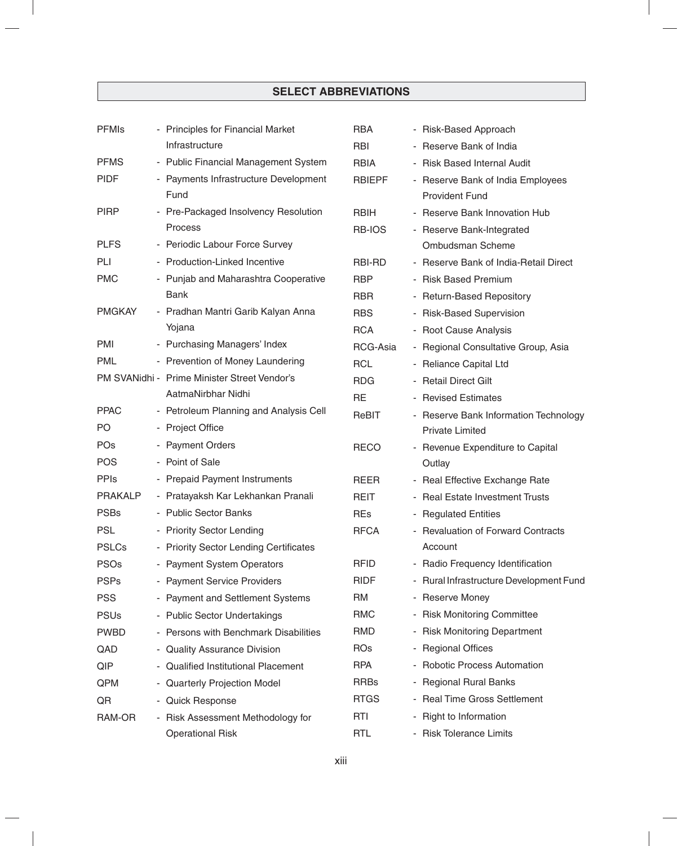| <b>PFMIs</b>   | - Principles for Financial Market             | <b>RBA</b>    | - Risk-Based Approach                                      |
|----------------|-----------------------------------------------|---------------|------------------------------------------------------------|
|                | Infrastructure                                | <b>RBI</b>    | - Reserve Bank of India                                    |
| <b>PFMS</b>    | - Public Financial Management System          | <b>RBIA</b>   | - Risk Based Internal Audit                                |
| <b>PIDF</b>    | - Payments Infrastructure Development<br>Fund | <b>RBIEPF</b> | - Reserve Bank of India Employees<br><b>Provident Fund</b> |
| <b>PIRP</b>    | - Pre-Packaged Insolvency Resolution          | <b>RBIH</b>   | - Reserve Bank Innovation Hub                              |
|                | <b>Process</b>                                | RB-IOS        | - Reserve Bank-Integrated                                  |
| <b>PLFS</b>    | - Periodic Labour Force Survey                |               | Ombudsman Scheme                                           |
| PLI            | - Production-Linked Incentive                 | RBI-RD        | - Reserve Bank of India-Retail Direct                      |
| <b>PMC</b>     | - Punjab and Maharashtra Cooperative          | <b>RBP</b>    | - Risk Based Premium                                       |
|                | Bank                                          | <b>RBR</b>    | - Return-Based Repository                                  |
| <b>PMGKAY</b>  | - Pradhan Mantri Garib Kalyan Anna            | <b>RBS</b>    | - Risk-Based Supervision                                   |
|                | Yojana                                        | <b>RCA</b>    | - Root Cause Analysis                                      |
| <b>PMI</b>     | - Purchasing Managers' Index                  | RCG-Asia      | - Regional Consultative Group, Asia                        |
| <b>PML</b>     | - Prevention of Money Laundering              | <b>RCL</b>    | - Reliance Capital Ltd                                     |
|                | PM SVANidhi - Prime Minister Street Vendor's  | <b>RDG</b>    | - Retail Direct Gilt                                       |
|                | AatmaNirbhar Nidhi                            | <b>RE</b>     | - Revised Estimates                                        |
| <b>PPAC</b>    | - Petroleum Planning and Analysis Cell        | ReBIT         | - Reserve Bank Information Technology                      |
| PO             | - Project Office                              |               | <b>Private Limited</b>                                     |
| POs            | - Payment Orders                              | <b>RECO</b>   | - Revenue Expenditure to Capital                           |
| <b>POS</b>     | - Point of Sale                               |               | Outlay                                                     |
| <b>PPIs</b>    | - Prepaid Payment Instruments                 | <b>REER</b>   | - Real Effective Exchange Rate                             |
| <b>PRAKALP</b> | - Pratayaksh Kar Lekhankan Pranali            | REIT          | - Real Estate Investment Trusts                            |
| <b>PSBs</b>    | - Public Sector Banks                         | <b>REs</b>    | - Regulated Entities                                       |
| <b>PSL</b>     | - Priority Sector Lending                     | <b>RFCA</b>   | - Revaluation of Forward Contracts                         |
| <b>PSLCs</b>   | - Priority Sector Lending Certificates        |               | Account                                                    |
| <b>PSOs</b>    | - Payment System Operators                    | <b>RFID</b>   | - Radio Frequency Identification                           |
| <b>PSPs</b>    | - Payment Service Providers                   | <b>RIDF</b>   | - Rural Infrastructure Development Fund                    |
| <b>PSS</b>     | - Payment and Settlement Systems              | RM            | - Reserve Money                                            |
| <b>PSUs</b>    | - Public Sector Undertakings                  | <b>RMC</b>    | - Risk Monitoring Committee                                |
| <b>PWBD</b>    | - Persons with Benchmark Disabilities         | RMD           | - Risk Monitoring Department                               |
| QAD            | - Quality Assurance Division                  | <b>ROs</b>    | - Regional Offices                                         |
| QIP            | - Qualified Institutional Placement           | <b>RPA</b>    | - Robotic Process Automation                               |
| QPM            | - Quarterly Projection Model                  | <b>RRBs</b>   | - Regional Rural Banks                                     |
| QR             | - Quick Response                              | <b>RTGS</b>   | - Real Time Gross Settlement                               |
| RAM-OR         | - Risk Assessment Methodology for             | <b>RTI</b>    | - Right to Information                                     |
|                | <b>Operational Risk</b>                       | <b>RTL</b>    | - Risk Tolerance Limits                                    |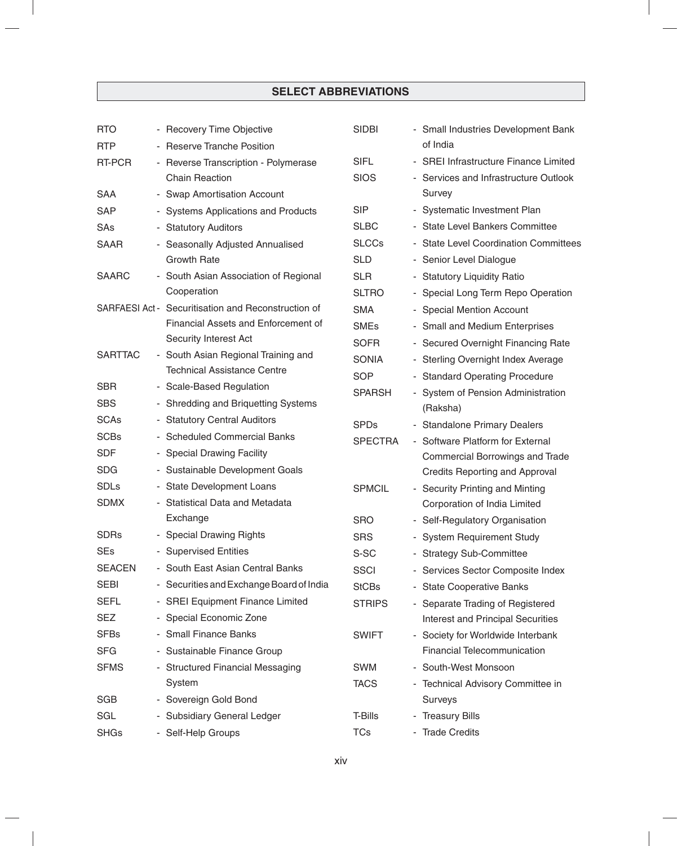| <b>RTO</b>     | - Recovery Time Objective                           | <b>SIDBI</b>   | - Small Industries Development Bank      |
|----------------|-----------------------------------------------------|----------------|------------------------------------------|
| <b>RTP</b>     | - Reserve Tranche Position                          |                | of India                                 |
| <b>RT-PCR</b>  | - Reverse Transcription - Polymerase                | <b>SIFL</b>    | - SREI Infrastructure Finance Limited    |
|                | <b>Chain Reaction</b>                               | <b>SIOS</b>    | - Services and Infrastructure Outlook    |
| <b>SAA</b>     | - Swap Amortisation Account                         |                | Survey                                   |
| <b>SAP</b>     | - Systems Applications and Products                 | <b>SIP</b>     | - Systematic Investment Plan             |
| SAs            | - Statutory Auditors                                | <b>SLBC</b>    | - State Level Bankers Committee          |
| <b>SAAR</b>    | - Seasonally Adjusted Annualised                    | <b>SLCCs</b>   | - State Level Coordination Committees    |
|                | <b>Growth Rate</b>                                  | <b>SLD</b>     | - Senior Level Dialogue                  |
| <b>SAARC</b>   | - South Asian Association of Regional               | <b>SLR</b>     | - Statutory Liquidity Ratio              |
|                | Cooperation                                         | <b>SLTRO</b>   | - Special Long Term Repo Operation       |
|                | SARFAESI Act - Securitisation and Reconstruction of | <b>SMA</b>     | - Special Mention Account                |
|                | Financial Assets and Enforcement of                 | <b>SMEs</b>    | - Small and Medium Enterprises           |
|                | Security Interest Act                               | <b>SOFR</b>    | - Secured Overnight Financing Rate       |
| <b>SARTTAC</b> | - South Asian Regional Training and                 | <b>SONIA</b>   | - Sterling Overnight Index Average       |
|                | <b>Technical Assistance Centre</b>                  | <b>SOP</b>     | - Standard Operating Procedure           |
| <b>SBR</b>     | - Scale-Based Regulation                            | <b>SPARSH</b>  | - System of Pension Administration       |
| <b>SBS</b>     | - Shredding and Briquetting Systems                 |                | (Raksha)                                 |
| <b>SCAs</b>    | - Statutory Central Auditors                        | <b>SPDs</b>    | - Standalone Primary Dealers             |
| <b>SCBs</b>    | - Scheduled Commercial Banks                        | <b>SPECTRA</b> | - Software Platform for External         |
| <b>SDF</b>     | - Special Drawing Facility                          |                | Commercial Borrowings and Trade          |
| <b>SDG</b>     | - Sustainable Development Goals                     |                | <b>Credits Reporting and Approval</b>    |
| <b>SDLs</b>    | - State Development Loans                           | <b>SPMCIL</b>  | - Security Printing and Minting          |
| <b>SDMX</b>    | - Statistical Data and Metadata                     |                | Corporation of India Limited             |
|                | Exchange                                            | <b>SRO</b>     | - Self-Regulatory Organisation           |
| <b>SDRs</b>    | - Special Drawing Rights                            | <b>SRS</b>     | - System Requirement Study               |
| <b>SEs</b>     | - Supervised Entities                               | S-SC           | <b>Strategy Sub-Committee</b>            |
| <b>SEACEN</b>  | - South East Asian Central Banks                    | <b>SSCI</b>    | - Services Sector Composite Index        |
| SEBI           | - Securities and Exchange Board of India            | <b>StCBs</b>   | - State Cooperative Banks                |
| <b>SEFL</b>    | - SREI Equipment Finance Limited                    | <b>STRIPS</b>  | - Separate Trading of Registered         |
| SEZ            | - Special Economic Zone                             |                | <b>Interest and Principal Securities</b> |
| <b>SFBs</b>    | - Small Finance Banks                               | <b>SWIFT</b>   | - Society for Worldwide Interbank        |
| <b>SFG</b>     | - Sustainable Finance Group                         |                | <b>Financial Telecommunication</b>       |
| <b>SFMS</b>    | - Structured Financial Messaging                    | SWM            | - South-West Monsoon                     |
|                | System                                              | <b>TACS</b>    | - Technical Advisory Committee in        |
| <b>SGB</b>     | - Sovereign Gold Bond                               |                | Surveys                                  |
| SGL            | - Subsidiary General Ledger                         | T-Bills        | - Treasury Bills                         |
| <b>SHGs</b>    | - Self-Help Groups                                  | <b>TCs</b>     | - Trade Credits                          |